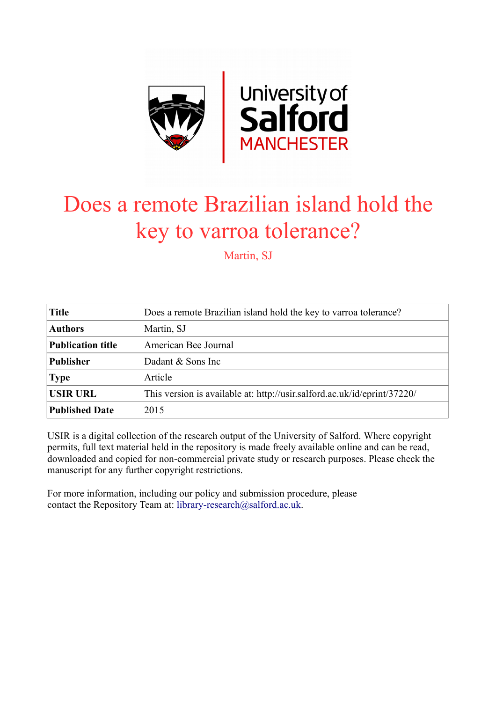

## Does a remote Brazilian island hold the key to varroa tolerance?

Martin, SJ

| <b>Title</b>             | Does a remote Brazilian island hold the key to varroa tolerance?         |
|--------------------------|--------------------------------------------------------------------------|
| <b>Authors</b>           | Martin, SJ                                                               |
| <b>Publication title</b> | American Bee Journal                                                     |
| <b>Publisher</b>         | Dadant & Sons Inc                                                        |
| <b>Type</b>              | Article                                                                  |
| <b>USIR URL</b>          | This version is available at: http://usir.salford.ac.uk/id/eprint/37220/ |
| <b>Published Date</b>    | 2015                                                                     |

USIR is a digital collection of the research output of the University of Salford. Where copyright permits, full text material held in the repository is made freely available online and can be read, downloaded and copied for non-commercial private study or research purposes. Please check the manuscript for any further copyright restrictions.

For more information, including our policy and submission procedure, please contact the Repository Team at: [library-research@salford.ac.uk.](mailto:library-research@salford.ac.uk)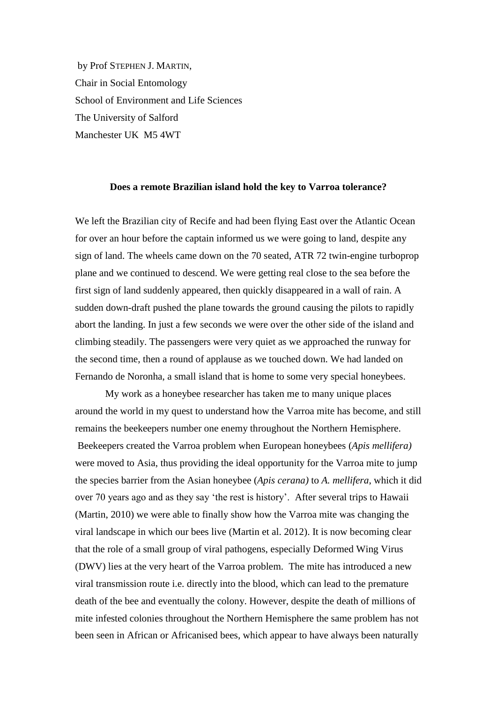by Prof STEPHEN J. MARTIN, Chair in Social Entomology School of Environment and Life Sciences The University of Salford Manchester UK M5 4WT

## **Does a remote Brazilian island hold the key to Varroa tolerance?**

We left the Brazilian city of Recife and had been flying East over the Atlantic Ocean for over an hour before the captain informed us we were going to land, despite any sign of land. The wheels came down on the 70 seated, ATR 72 twin-engine turboprop plane and we continued to descend. We were getting real close to the sea before the first sign of land suddenly appeared, then quickly disappeared in a wall of rain. A sudden down-draft pushed the plane towards the ground causing the pilots to rapidly abort the landing. In just a few seconds we were over the other side of the island and climbing steadily. The passengers were very quiet as we approached the runway for the second time, then a round of applause as we touched down. We had landed on Fernando de Noronha, a small island that is home to some very special honeybees.

My work as a honeybee researcher has taken me to many unique places around the world in my quest to understand how the Varroa mite has become, and still remains the beekeepers number one enemy throughout the Northern Hemisphere. Beekeepers created the Varroa problem when European honeybees (*Apis mellifera)* were moved to Asia, thus providing the ideal opportunity for the Varroa mite to jump the species barrier from the Asian honeybee (*Apis cerana)* to *A. mellifera*, which it did over 70 years ago and as they say 'the rest is history'. After several trips to Hawaii (Martin, 2010) we were able to finally show how the Varroa mite was changing the viral landscape in which our bees live (Martin et al. 2012). It is now becoming clear that the role of a small group of viral pathogens, especially Deformed Wing Virus (DWV) lies at the very heart of the Varroa problem. The mite has introduced a new viral transmission route i.e. directly into the blood, which can lead to the premature death of the bee and eventually the colony. However, despite the death of millions of mite infested colonies throughout the Northern Hemisphere the same problem has not been seen in African or Africanised bees, which appear to have always been naturally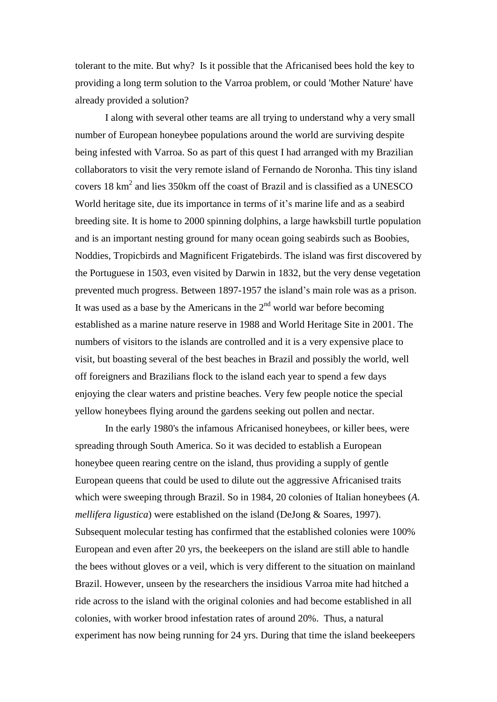tolerant to the mite. But why? Is it possible that the Africanised bees hold the key to providing a long term solution to the Varroa problem, or could 'Mother Nature' have already provided a solution?

I along with several other teams are all trying to understand why a very small number of European honeybee populations around the world are surviving despite being infested with Varroa. So as part of this quest I had arranged with my Brazilian collaborators to visit the very remote island of Fernando de Noronha. This tiny island covers 18  $\text{km}^2$  and lies 350 $\text{km}$  off the coast of Brazil and is classified as a UNESCO World heritage site, due its importance in terms of it's marine life and as a seabird breeding site. It is home to 2000 spinning dolphins, a large hawksbill turtle population and is an important nesting ground for many ocean going seabirds such as Boobies, Noddies, Tropicbirds and Magnificent Frigatebirds. The island was first discovered by the Portuguese in 1503, even visited by Darwin in 1832, but the very dense vegetation prevented much progress. Between 1897-1957 the island's main role was as a prison. It was used as a base by the Americans in the  $2<sup>nd</sup>$  world war before becoming established as a marine nature reserve in 1988 and World Heritage Site in 2001. The numbers of visitors to the islands are controlled and it is a very expensive place to visit, but boasting several of the best beaches in Brazil and possibly the world, well off foreigners and Brazilians flock to the island each year to spend a few days enjoying the clear waters and pristine beaches. Very few people notice the special yellow honeybees flying around the gardens seeking out pollen and nectar.

In the early 1980's the infamous Africanised honeybees, or killer bees, were spreading through South America. So it was decided to establish a European honeybee queen rearing centre on the island, thus providing a supply of gentle European queens that could be used to dilute out the aggressive Africanised traits which were sweeping through Brazil. So in 1984, 20 colonies of Italian honeybees (*A. mellifera ligustica*) were established on the island (DeJong & Soares, 1997). Subsequent molecular testing has confirmed that the established colonies were 100% European and even after 20 yrs, the beekeepers on the island are still able to handle the bees without gloves or a veil, which is very different to the situation on mainland Brazil. However, unseen by the researchers the insidious Varroa mite had hitched a ride across to the island with the original colonies and had become established in all colonies, with worker brood infestation rates of around 20%. Thus, a natural experiment has now being running for 24 yrs. During that time the island beekeepers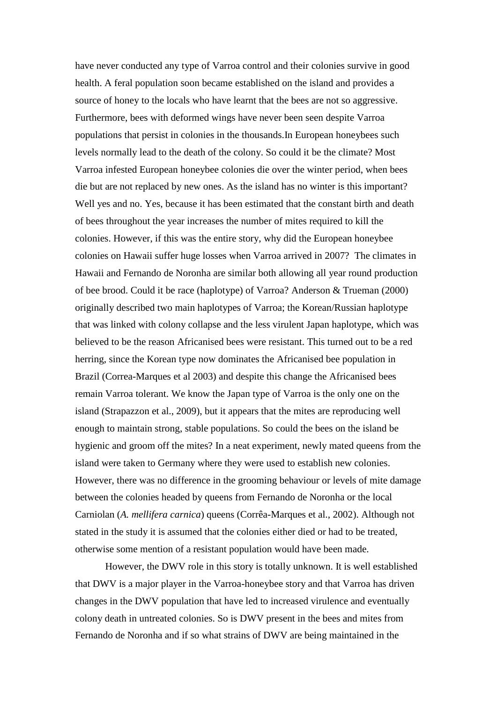have never conducted any type of Varroa control and their colonies survive in good health. A feral population soon became established on the island and provides a source of honey to the locals who have learnt that the bees are not so aggressive. Furthermore, bees with deformed wings have never been seen despite Varroa populations that persist in colonies in the thousands.In European honeybees such levels normally lead to the death of the colony. So could it be the climate? Most Varroa infested European honeybee colonies die over the winter period, when bees die but are not replaced by new ones. As the island has no winter is this important? Well yes and no. Yes, because it has been estimated that the constant birth and death of bees throughout the year increases the number of mites required to kill the colonies. However, if this was the entire story, why did the European honeybee colonies on Hawaii suffer huge losses when Varroa arrived in 2007? The climates in Hawaii and Fernando de Noronha are similar both allowing all year round production of bee brood. Could it be race (haplotype) of Varroa? Anderson & Trueman (2000) originally described two main haplotypes of Varroa; the Korean/Russian haplotype that was linked with colony collapse and the less virulent Japan haplotype, which was believed to be the reason Africanised bees were resistant. This turned out to be a red herring, since the Korean type now dominates the Africanised bee population in Brazil (Correa-Marques et al 2003) and despite this change the Africanised bees remain Varroa tolerant. We know the Japan type of Varroa is the only one on the island (Strapazzon et al., 2009), but it appears that the mites are reproducing well enough to maintain strong, stable populations. So could the bees on the island be hygienic and groom off the mites? In a neat experiment, newly mated queens from the island were taken to Germany where they were used to establish new colonies. However, there was no difference in the grooming behaviour or levels of mite damage between the colonies headed by queens from Fernando de Noronha or the local Carniolan (*A. mellifera carnica*) queens (Corrêa-Marques et al., 2002). Although not stated in the study it is assumed that the colonies either died or had to be treated, otherwise some mention of a resistant population would have been made.

However, the DWV role in this story is totally unknown. It is well established that DWV is a major player in the Varroa-honeybee story and that Varroa has driven changes in the DWV population that have led to increased virulence and eventually colony death in untreated colonies. So is DWV present in the bees and mites from Fernando de Noronha and if so what strains of DWV are being maintained in the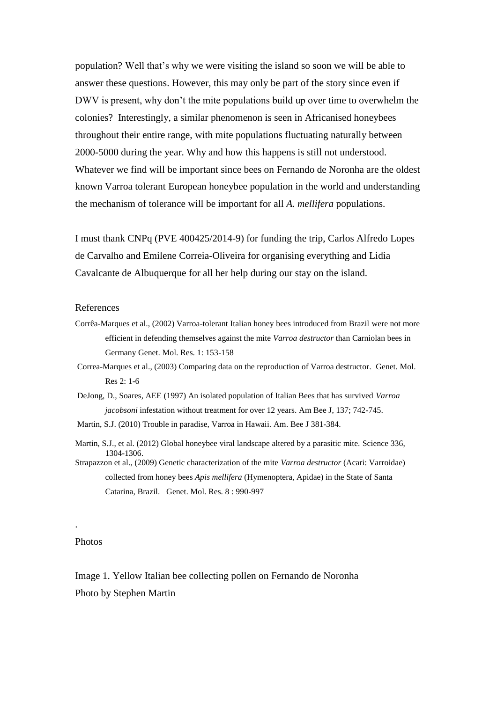population? Well that's why we were visiting the island so soon we will be able to answer these questions. However, this may only be part of the story since even if DWV is present, why don't the mite populations build up over time to overwhelm the colonies? Interestingly, a similar phenomenon is seen in Africanised honeybees throughout their entire range, with mite populations fluctuating naturally between 2000-5000 during the year. Why and how this happens is still not understood. Whatever we find will be important since bees on Fernando de Noronha are the oldest known Varroa tolerant European honeybee population in the world and understanding the mechanism of tolerance will be important for all *A. mellifera* populations.

I must thank CNPq (PVE 400425/2014-9) for funding the trip, Carlos Alfredo Lopes de Carvalho and Emilene Correia-Oliveira for organising everything and Lidia Cavalcante de Albuquerque for all her help during our stay on the island.

## References

- Corrêa-Marques et al., (2002) Varroa-tolerant Italian honey bees introduced from Brazil were not more efficient in defending themselves against the mite *Varroa destructor* than Carniolan bees in Germany Genet. Mol. Res. 1: 153-158
- Correa-Marques et al., (2003) Comparing data on the reproduction of Varroa destructor. Genet. Mol. Res 2: 1-6
- DeJong, D., Soares, AEE (1997) An isolated population of Italian Bees that has survived *Varroa jacobsoni* infestation without treatment for over 12 years. Am Bee J, 137; 742-745.
- Martin, S.J. (2010) Trouble in paradise, Varroa in Hawaii. Am. Bee J 381-384.
- Martin, S.J., et al. (2012) Global honeybee viral landscape altered by a parasitic mite. Science 336, 1304-1306.
- Strapazzon et al., (2009) Genetic characterization of the mite *Varroa destructor* (Acari: Varroidae) collected from honey bees *Apis mellifera* (Hymenoptera, Apidae) in the State of Santa Catarina, Brazil. Genet. Mol. Res. 8 : 990-997

## Photos

.

Image 1. Yellow Italian bee collecting pollen on Fernando de Noronha Photo by Stephen Martin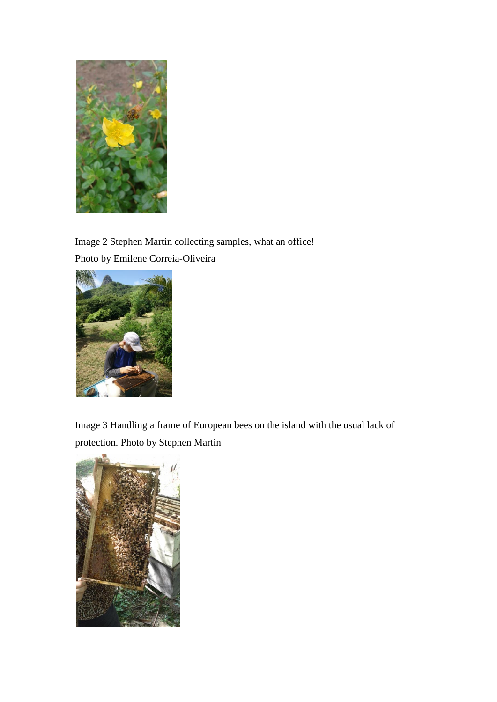

Image 2 Stephen Martin collecting samples, what an office! Photo by Emilene Correia-Oliveira



Image 3 Handling a frame of European bees on the island with the usual lack of protection. Photo by Stephen Martin